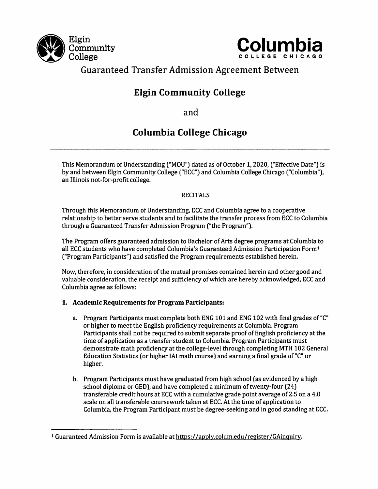



# Guaranteed Transfer Admission Agreement Between

# Elgin Community College

and

# Columbia College Chicago

This Memorandum of Understanding ["MOU") dated as of October 1,2020, ("Effective Date") is by and between Elgin Community College ("ECC") and Columbia College Chicago ("Columbia"), an Illinois not-for-profit college.

# RECITALS

Through this Memorandum of Understanding, ECC and Columbia agree to a cooperative relationship to better serve students and to facilitate the transfer process from ECC to Columbia through a Guaranteed Transfer Admission Program ("the Program").

The Program offers guaranteed admission to Bachelor of Arts degree programs at Columbia to all ECC students who have completed Columbia's Guaranteed Admission Participation Form<sup>1</sup> ("Program Participants") and satisfied the Program requirements established herein.

Now, therefore, in consideration of the mutual promises contained herein and other good and valuable consideration, the receipt and sufficiency of which are hereby acknowledged, ECC and Columbia agree as follows:

# 1. Academic Requirements for Program Participants:

- a. Program Participants must complete both ENG 101 and ENG 102 with final grades of "C" or higher to meet the English proficiency requirements at Columbia. Program Participants shall not be required to submit separate proof of English proficiency at the time of application as a transfer student to Columbia. Program Participants must demonstrate math proficiency at the college-level through completing MTH 102 General Education Statistics (or higher lAl math course) and earning a final grade of "C" or higher.
- b. Program Participants must have graduated from high school (as evidenced by a high school diploma or GED), and have completed a minimum of twenty-four (24) transferable credit hours at ECC with a cumulative grade point average of 2.5 on a 4.0 scale on all transferable coursework taken at ECC. At the time of application to Columbia, the Program Participant must be degree-seeking and in good standing at ECC.

<sup>1</sup> Guaranteed Admission Form is available at https: //applv.colum.edu /register/GAinquirv.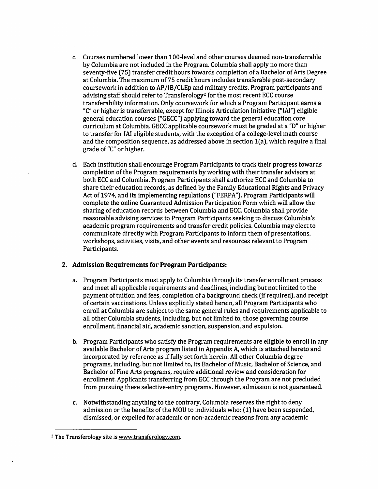- c. Courses numbered lower than 100-level and other courses deemed non-transferrable by Columbia are not included in the Program. Columbia shall apply no more than seventy-five [75] transfer credit hours towards completion of a Bachelor of Arts Degree at Columbia. The maximum of 75 credit hours includes transferable post-secondary coursework in addition to AP/IB/CLEp and military credits. Program participants and advising staff should refer to Transferology<sup>2</sup> for the most recent ECC course transferability information. Only coursework for which a Program Participant earns a "C" or higher is transferrable, except for Illinois Articulation Initiative ("lAI"] eligible general education courses ("GECC") applying toward the general education core curriculum at Columbia. GECC applicable coursework must be graded at a "D" or higher to transfer for lAI eligible students, with the exception of a college-level math course and the composition sequence, as addressed above in section  $1(a)$ , which require a final grade of "C" or higher.
- d. Each institution shall encourage Program Participants to track their progress towards completion of the Program requirements by working with their transfer advisors at both ECC and Columbia. Program Participants shall authorize ECC and Columbia to share their education records, as defined by the Family Educational Rights and Privacy Act of 1974, and its implementing regulations ("FERPA"). Program Participants will complete the online Guaranteed Admission Participation Form which will allow the sharing of education records between Columbia and ECC. Columbia shall provide reasonable advising services to Program Participants seeking to discuss Columbia's academic program requirements and transfer credit policies. Columbia may elect to communicate directly with Program Participants to inform them of presentations, workshops, activities, visits, and other events and resources relevant to Program Participants.

#### 2. Admission Requirements for Program Participants:

- a. Program Participants must apply to Columbia through its transfer enrollment process and meet all applicable requirements and deadlines, including but not limited to the payment of tuition and fees, completion of a background check [if required], and receipt of certain vaccinations. Unless explicitly stated herein, all Program Participants who enroll at Columbia are subject to the same general rules and requirements applicable to all other Columbia students, including, but not limited to, those governing course enrollment, financial aid, academic sanction, suspension, and expulsion.
- b. Program Participants who satisfy the Program requirements are eligible to enroll in any available Bachelor of Arts program listed in Appendix A, which is attached hereto and incorporated by reference as if fully set forth herein. All other Columbia degree programs, including, but not limited to, its Bachelor of Music, Bachelor of Science, and Bachelor of Fine Arts programs, require additional review and consideration for enrollment. Applicants transferring from ECC through the Program are not precluded from pursuing these selective-entry programs. However, admission is not guaranteed.
- c. Notwithstanding anything to the contrary, Columbia reserves the right to deny admission or the benefits of the MOU to individuals who: [1] have been suspended, dismissed, or expelled for academic or non-academic reasons from any academic

<sup>2</sup> The Transferology site is www.transferologv.com.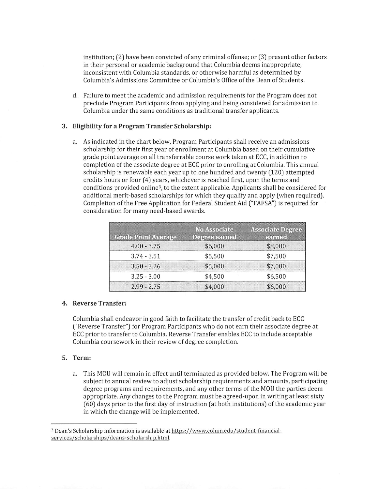institution; (2) have been convicted of any criminal offense; or (3] present other factors in their personal or academic background that Columbia deems inappropriate, inconsistent with Columbia standards, or otherwise harmful as determined by Columbia's Admissions Committee or Columbia's Office of the Dean of Students.

d. Failure to meet the academic and admission requirements for the Program does not preclude Program Participants from applying and being considered for admission to Columbia under the same conditions as traditional transfer applicants.

#### 3. Eligibility for a Program Transfer Scholarship:

a. As indicated in the chart below. Program Participants shall receive an admissions scholarship for their first year of enrollment at Columbia based on their cumulative grade point average on all transferrable course work taken at ECC, in addition to completion of the associate degree at ECC prior to enrolling at Columbia. This annual scholarship is renewable each year up to one hundred and twenty (120) attempted credits hours or four (4) years, whichever is reached first, upon the terms and conditions provided online<sup>3</sup>, to the extent applicable. Applicants shall be considered for additional merit-based scholarships for which they qualify and apply [when required). Completion of the Free Application for Federal Student Aid ("FAFSA") is required for consideration for many need-based awards.

| <b>Grade Point Average</b> | <b>No Associate</b><br>Degree earned | <b>Associate Degree</b><br>earned |
|----------------------------|--------------------------------------|-----------------------------------|
| $4.00 - 3.75$              | \$6,000                              | \$8,000                           |
| $3.74 - 3.51$              | \$5,500                              | \$7,500                           |
| $3.50 - 3.26$              | \$5,000                              | \$7,000                           |
| $3.25 - 3.00$              | \$4,500                              | \$6,500                           |
| $2.99 - 2.75$              | \$4,000                              | \$6,000                           |

#### 4. Reverse Transfer;

Columbia shall endeavor in good faith to facilitate the transfer of credit back to ECC ("Reverse Transfer") for Program Participants who do not earn their associate degree at ECC prior to transfer to Columbia. Reverse Transfer enables ECC to include acceptable Columbia coursework in their review of degree completion.

#### 5. Term:

a. This MOU will remain in effect until terminated as provided below. The Program will be subject to annual review to adjust scholarship requirements and amounts, participating degree programs and requirements, and any other terms of the MOU the parties deem appropriate. Any changes to the Program must be agreed-upon in writing at least sixty (60) days prior to the first day of instruction (at both institutions) of the academic year in which the change will be implemented.

<sup>3</sup> Dean's Scholarship information is available at https://www.colum.edu/student-financialservices/scholarships/deans-scholarship.html.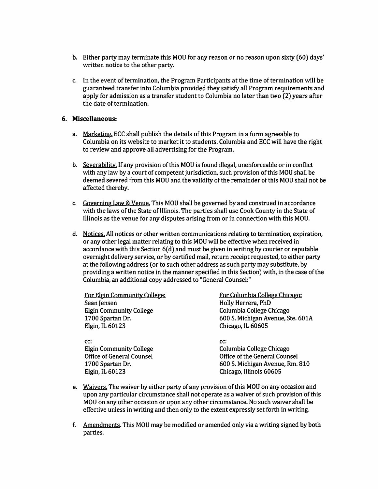- b. Either party may terminate this MOU for any reason or no reason upon sixty (60) days' written notice to the other party.
- c. In the event of termination, the Program Participants at the time of termination will be guaranteed transfer into Columbia provided they satisfy all Program requirements and apply for admission as a transfer student to Columbia no later than two (2) years after the date of termination.

#### 6. Miscellaneous:

- a. <u>Marketing.</u> ECC shall publish the details of this Program in a form agreeable to Columbia on its website to market it to students. Columbia and ECC will have the right to review and approve all advertising for the Program.
- b. <u>Severability.</u> If any provision of this MOU is found illegal, unenforceable or in conflict with any law by a court of competent jurisdiction, such provision of this MOU shall be deemed severed from this MOU and the validity of the remainder of this MOU shall not be affected thereby.
- c. Governing Law & Venue. This MOU shall be governed by and construed in accordance with the laws of the State of Illinois. The parties shall use Cook County in the State of Illinois as the venue for any disputes arising from or in connection with this MOU.
- d. Notices. All notices or other written communications relating to termination, expiration, or any other legal matter relating to this MOU will be effective when received in accordance with this Section 6(d) and must be given in writing by courier or reputable overnight delivery service, or by certified mail, return receipt requested, to either party at the following address (or to such other address as such party may substitute, by providing a written notice in the manner specified in this Section) with, in the case of the Columbia, an additional copy addressed to "General Counsel;"

For Elgin Community College: Sean Jensen Elgin Community College 1700 Spartan Dr. Elgin, IL 60123

For Columbia College Chicago: Holly Herrera, PhD Columbia College Chicago 600 S. Michigan Avenue, Ste. 601A Chicago, IL 60605

cc: cc: Elgin Community College Office of General Counsel 1700 Spartan Dr. Elgin, IL 60123

Columbia College Chicago Office of the General Counsel 600 S. Michigan Avenue, Rm. 810 Chicago, Illinois 60605

- e. <u>Waivers.</u> The waiver by either party of any provision of this MOU on any occasion and upon any particular circumstance shall not operate as a waiver of such provision of this MOU on any other occasion or upon any other circumstance. No such waiver shall be effective unless in writing and then only to the extent expressly set forth in writing.
- f. <u>Amendments</u>. This MOU may be modified or amended only via a writing signed by both parties.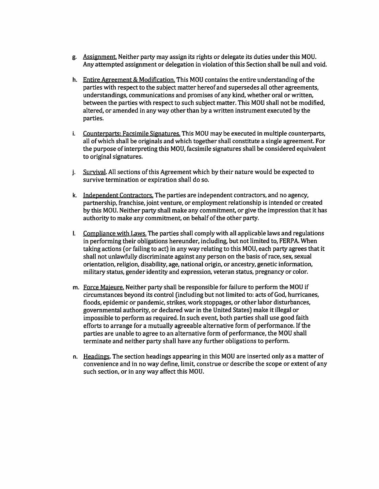- g. <u>Assignment.</u> Neither party may assign its rights or delegate its duties under this MOU. Any attempted assignment or delegation in violation of this Section shall be null and void.
- h. Entire Agreement & Modification. This MOU contains the entire understanding of the parties with respect to the subject matter hereof and supersedes all other agreements, understandings, communications and promises of any kind, whether oral or written, between the parties with respect to such subject matter. This MOU shall not be modified, altered, or amended in any way other than by a written instrument executed by the parties.
- i. Counterparts: Facsimile Signatures. This MOU may be executed in multiple counterparts, all of which shall be originals and which together shall constitute a single agreement. For the purpose of interpreting this MOU, facsimile signatures shall be considered equivalent to original signatures.
- J. <u>Survival</u>. All sections of this Agreement which by their nature would be expected to survive termination or expiration shall do so.
- k. <u>Independent Contractors.</u> The parties are independent contractors, and no agency, partnership, franchise, joint venture, or employment relationship is intended or created by this MOU. Neither party shall make any commitment, or give the impression that it has authority to make any commitment, on behalf of the other party.
- Compliance with Laws. The parties shall comply with all applicable laws and regulations in performing their obligations hereunder, including, but not limited to, FERPA. When taking actions (or failing to act) in any way relating to this MOU, each party agrees that it shall not unlawfully discriminate against any person on the basis of race, sex, sexual orientation, religion, disability, age, national origin, or ancestry, genetic information, military status, gender identity and expression, veteran status, pregnancy or color.
- m. Force Majeure. Neither party shall be responsible for failure to perform the MOU if circumstances beyond its control [including but not limited to: acts of God, hurricanes, floods, epidemic or pandemic, strikes, work stoppages, or other labor disturbances, governmental authority, or declared war in the United States) make it illegal or impossible to perform as required. In such event, both parties shall use good faith efforts to arrange for a mutually agreeable alternative form of performance. If the parties are unable to agree to an alternative form of performance, the MOU shall terminate and neither party shall have any further obligations to perform.
- n. <u>Headings</u>. The section headings appearing in this MOU are inserted only as a matter of convenience and in no way define, limit, construe or describe the scope or extent of any such section, or in any way affect this MOU.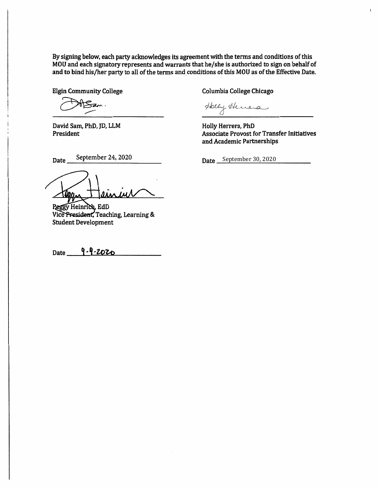By signing below, each party acknowledges its agreement with the terms and conditions of this MOQ and each signatory represents and warrants that he/she is authorized to sign on behalf of and to bind his/her party to all of the terms and conditions of this MOD as of the Effective Date.

Fan.

David Sam, PhD, JD, LLM President

.

Elgin Community College Columbia Columbia College Chicago

Hely Henera

Date September 30, 2020

Holly Herrera, PhD Associate Provost for Transfer Initiatives and Academic Partnerships

 $\mathbf{r}$ 

Date September 24, 2020

Thema ew IM N

Vice President, Teaching, Learning & Student Development

9-9-2020 Date